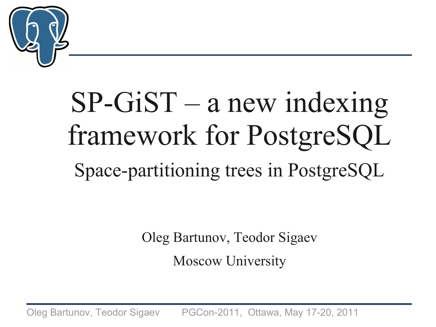

# SP-GiST – a new indexing framework for PostgreSQL Space-partitioning trees in PostgreSQL

Oleg Bartunov, Teodor Sigaev Moscow University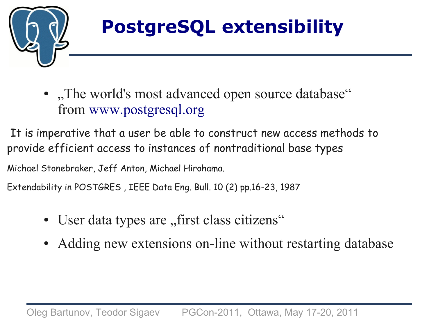

## **PostgreSQL extensibility**

● "The world's most advanced open source database" from [www.postgresql.org](http://www.postgresql.org/)

It is imperative that a user be able to construct new access methods to provide efficient access to instances of nontraditional base types

Michael Stonebraker, Jeff Anton, Michael Hirohama.

Extendability in POSTGRES , IEEE Data Eng. Bull. 10 (2) pp.16-23, 1987

- User data types are "first class citizens"
- Adding new extensions on-line without restarting database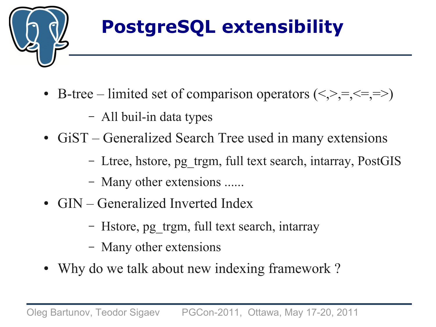

## **PostgreSQL extensibility**

- B-tree limited set of comparison operators  $(\le,>,=,\le,=>)$ 
	- All buil-in data types
- GiST Generalized Search Tree used in many extensions
	- Ltree, hstore, pg\_trgm, full text search, intarray, PostGIS
	- Many other extensions ......
- GIN Generalized Inverted Index
	- Hstore, pg\_trgm, full text search, intarray
	- Many other extensions
- Why do we talk about new indexing framework?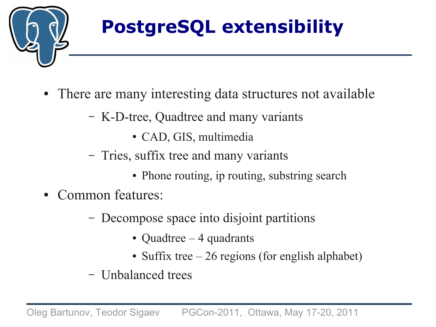

## **PostgreSQL extensibility**

- There are many interesting data structures not available
	- K-D-tree, Quadtree and many variants
		- CAD, GIS, multimedia
	- Tries, suffix tree and many variants
		- Phone routing, ip routing, substring search
- Common features:
	- Decompose space into disjoint partitions
		- Quadtree  $-4$  quadrants
		- Suffix tree  $-26$  regions (for english alphabet)
	- Unbalanced trees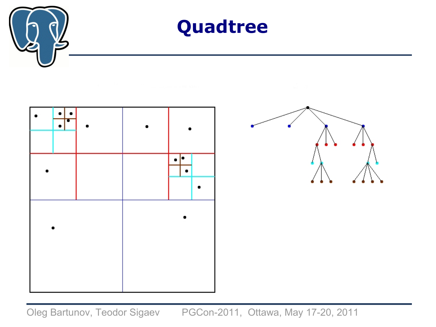





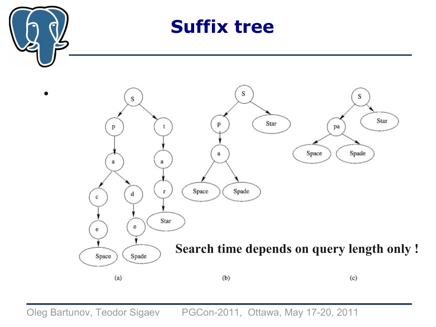

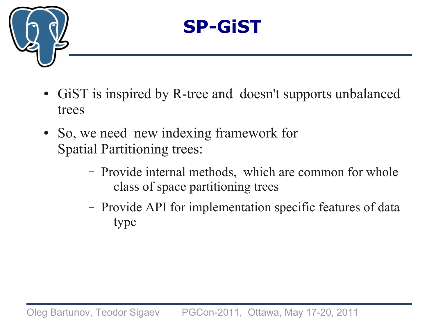

## **SP-GiST**

- GiST is inspired by R-tree and doesn't supports unbalanced trees
- So, we need new indexing framework for Spatial Partitioning trees:
	- Provide internal methods, which are common for whole class of space partitioning trees
	- Provide API for implementation specific features of data type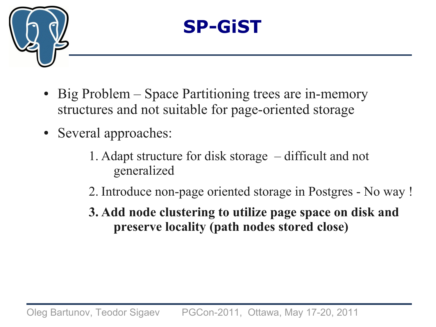



- Big Problem Space Partitioning trees are in-memory structures and not suitable for page-oriented storage
- Several approaches:
	- 1. Adapt structure for disk storage difficult and not generalized
	- 2. Introduce non-page oriented storage in Postgres No way !
	- **3. Add node clustering to utilize page space on disk and preserve locality (path nodes stored close)**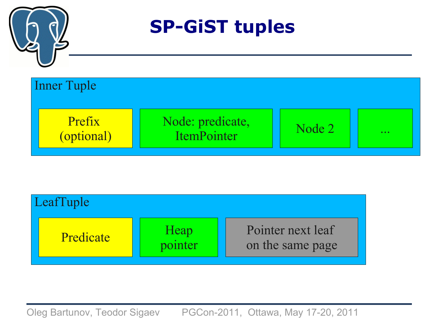

**SP-GiST tuples**



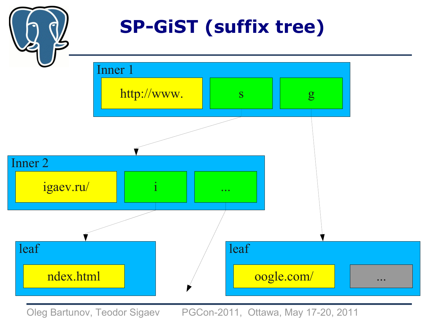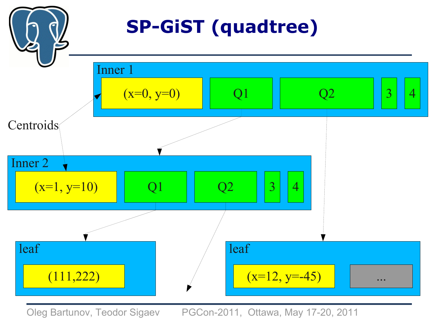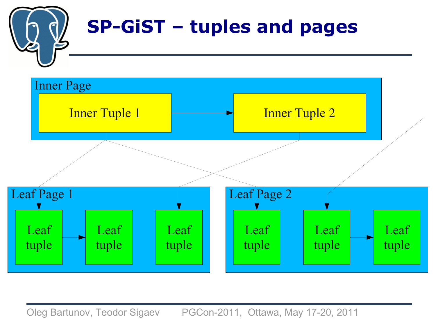

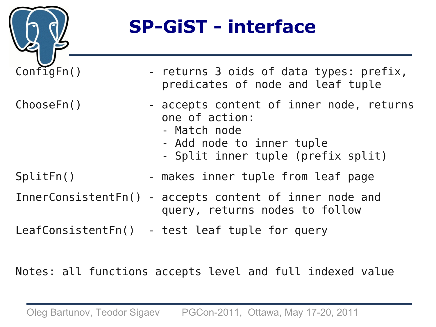

## **SP-GiST - interface**

| ConfigFn() | - returns 3 oids of data types: prefix,<br>predicates of node and leaf tuple                                                                  |
|------------|-----------------------------------------------------------------------------------------------------------------------------------------------|
| ChooseFn() | - accepts content of inner node, returns<br>one of action:<br>- Match node<br>- Add node to inner tuple<br>- Split inner tuple (prefix split) |
| SplitFn()  | - makes inner tuple from leaf page                                                                                                            |
|            | InnerConsistentFn() - accepts content of inner node and<br>query, returns nodes to follow                                                     |
|            | LeafConsistentFn() - test leaf tuple for query                                                                                                |

Notes: all functions accepts level and full indexed value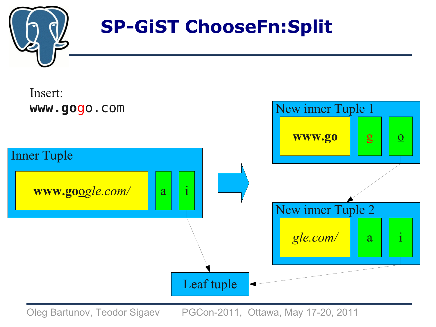

## **SP-GiST ChooseFn:Split**

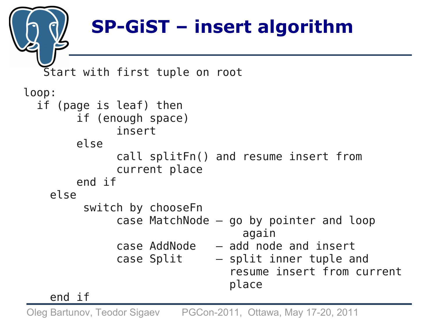## **SP-GiST – insert algorithm**

```
 Start with first tuple on root
loop: 
   if (page is leaf) then
         if (enough space)
                insert
         else
                call splitFn() and resume insert from 
                current place
         end if
     else
          switch by chooseFn
                case MatchNode – go by pointer and loop
                                    again 
                case AddNode – add node and insert 
                case Split – split inner tuple and 
                                  resume insert from current
                                  place
```
end if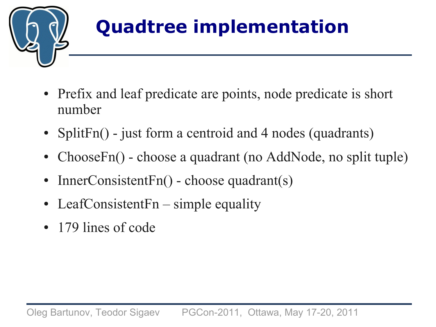

## **Quadtree implementation**

- Prefix and leaf predicate are points, node predicate is short number
- SplitFn() just form a centroid and 4 nodes (quadrants)
- ChooseFn() choose a quadrant (no AddNode, no split tuple)
- InnerConsistentFn() choose quadrant(s)
- LeafConsistentFn simple equality
- 179 lines of code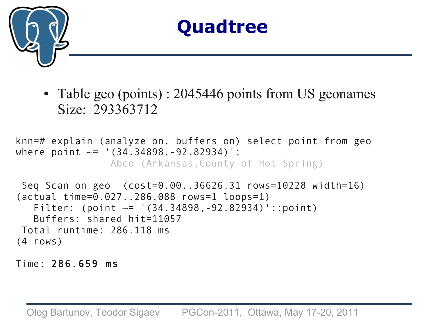



• Table geo (points) : 2045446 points from US geonames Size: 293363712

knn=# explain (analyze on, buffers on) select point from geo where point  $\sim=$  '(34.34898, -92.82934)'; Abco (Arkansas,County of Hot Spring)

Seq Scan on geo (cost=0.00..36626.31 rows=10228 width=16) (actual time=0.027..286.088 rows=1 loops=1) Filter: (point  $\sim$ = '(34.34898, -92.82934)'::point) Buffers: shared hit=11057 Total runtime: 286.118 ms (4 rows)

Time: 286.659 ms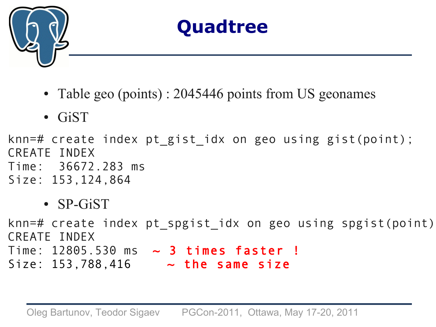

- Table geo (points) : 2045446 points from US geonames
- GiST

knn=# create index pt\_gist\_idx on geo using gist(point); CREATE INDEX Time: 36672.283 ms Size: 153,124,864

• SP-GiST

knn=# create index pt spgist idx on geo using spgist(point) CREATE INDEX Time:  $12805.530$  ms  $\sim$  3 times faster! Size:  $153,788,416$  ~ the same size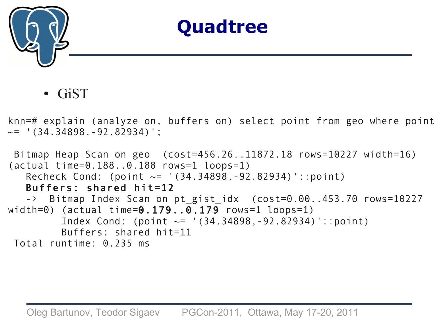

**GiST** 

knn=# explain (analyze on, buffers on) select point from geo where point  $\sim$ = '(34.34898,-92.82934)';

```
Bitmap Heap Scan on geo (cost=456.26..11872.18 rows=10227 width=16) 
(actual time=0.188..0.188 rows=1 loops=1)
    Recheck Cond: (point ~= '(34.34898,-92.82934)'::point)
    Buffers: shared hit=12
   -> Bitmap Index Scan on pt gist idx (cost=0.00..453.70 rows=10227
width=0) (actual time=0.179...0.179 rows=1 loops=1)
         Index Cond: (point \sim= '(34.34898, -92.82934)'::point)
          Buffers: shared hit=11
 Total runtime: 0.235 ms
```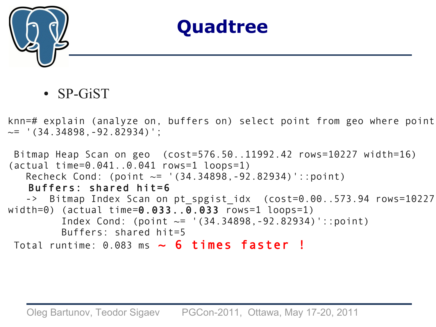

• SP-GiST

knn=# explain (analyze on, buffers on) select point from geo where point  $\sim$ = '(34.34898, -92.82934)';

```
Bitmap Heap Scan on geo (cost=576.50..11992.42 rows=10227 width=16) 
(actual time=0.041..0.041 rows=1 loops=1)
   Recheck Cond: (point \sim= '(34.34898,-92.82934)'::point)
    Buffers: shared hit=6
   -> Bitmap Index Scan on pt spgist idx (cost=0.00..573.94 rows=10227
width=0) (actual time=0.033...0.033 rows=1 loops=1)
         Index Cond: (point \sim= '(34.34898, -92.82934)'::point)
          Buffers: shared hit=5
Total runtime: 0.083 ms \sim 6 times faster !
```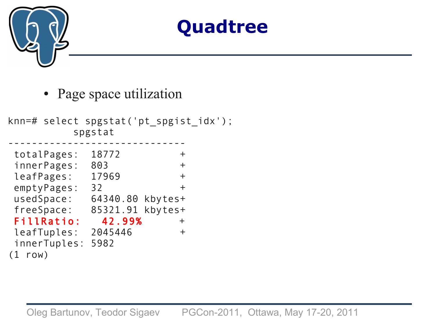

• Page space utilization

knn=# select spgstat('pt\_spgist\_idx'); spgstat ----------------------------- totalPages: 18772 + innerPages: 803 + leafPages: 17969 + emptyPages: 32 + usedSpace: 64340.80 kbytes+ freeSpace: 85321.91 kbytes+ FillRatio: 42.99% + leafTuples: 2045446 + innerTuples: 5982 (1 row)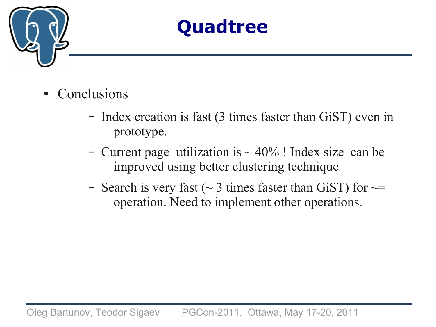

- **Conclusions** 
	- Index creation is fast (3 times faster than GiST) even in prototype.
	- Current page utilization is  $\sim$  40% ! Index size can be improved using better clustering technique
	- Search is very fast ( $\sim$  3 times faster than GiST) for  $\sim$ operation. Need to implement other operations.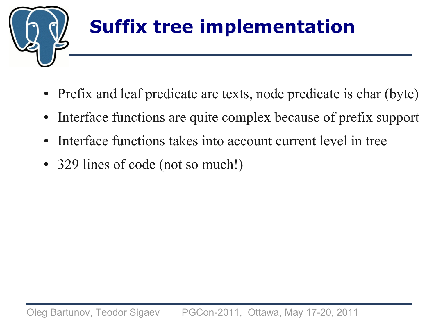

## **Suffix tree implementation**

- Prefix and leaf predicate are texts, node predicate is char (byte)
- Interface functions are quite complex because of prefix support
- Interface functions takes into account current level in tree
- 329 lines of code (not so much!)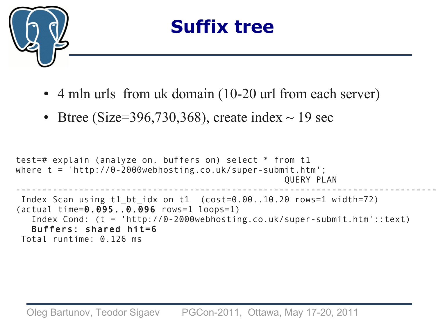

- 4 mln urls from uk domain (10-20 url from each server)
- Btree (Size=396,730,368), create index  $\sim$  19 sec

```
test=# explain (analyze on, buffers on) select * from t1 
where t = 'http://0-2000webhosting.co.uk/super-submit.htm';
                                                    QUERY PLAN 
----------------------------------------------------------------------------------------------------------------
 Index Scan using t1 bt idx on t1 (cost=0.00..10.20 rows=1 width=72)
(actual time=0.095..0.096 rows=1 loops=1)
    Index Cond: (t = 'http://0-2000webhosting.co.uk/super-submit.htm'::text)
    Buffers: shared hit=6
Total runtime: 0.126 ms
```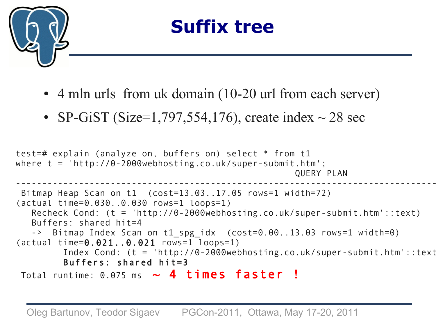

- 4 mln urls from uk domain (10-20 url from each server)
- SP-GiST (Size=1,797,554,176), create index  $\sim$  28 sec

```
test=# explain (analyze on, buffers on) select * from t1 
where t = 'http://0-2000webhosting.co.uk/super-submit.htm';
                                                      QUERY PLAN 
--------------------------------------------------------------------------------------------------------------------
Bitmap Heap Scan on t1 (cost=13.03..17.05 rows=1 width=72) 
(actual time=0.030..0.030 rows=1 loops=1)
   Recheck Cond: (t = 'http://0-2000webhosting.co.uk/super-submit.htm'::text)
   Buffers: shared hit=4
   -> Bitmap Index Scan on t1_spg_idx (cost=0.00..13.03 rows=1 width=0)
(actual time=0.021..0.021 rows=1 loops=1)
         Index Cond: (t = 'http://0-2000webhosting.co.uk/super-submit.htm'::text)
         Buffers: shared hit=3
Total runtime: 0.075 ms \sim 4 times faster !
```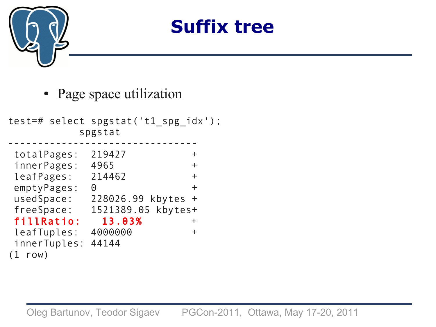

• Page space utilization

test=# select spgstat('t1\_spg\_idx'); spgstat ------------------------------- totalPages: 219427 + innerPages: 4965 + leafPages: 214462 + emptyPages: 0 + usedSpace: 228026.99 kbytes + freeSpace: 1521389.05 kbytes+ fillRatio: 13.03% + leafTuples: 4000000 + innerTuples: 44144 (1 row)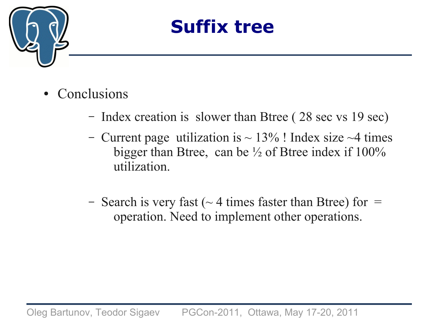

- **Conclusions** 
	- Index creation is slower than Btree ( 28 sec vs 19 sec)
	- Current page utilization is  $\sim$  13% ! Index size  $\sim$ 4 times bigger than Btree, can be ½ of Btree index if 100% utilization.
	- Search is very fast ( $\sim$  4 times faster than Btree) for = operation. Need to implement other operations.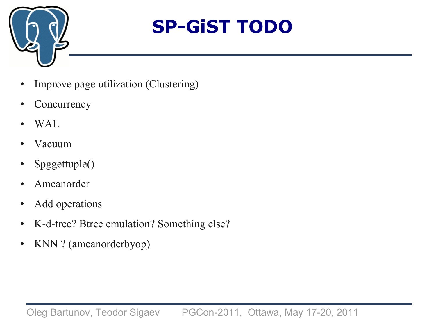

## **SP-GiST TODO**

- Improve page utilization (Clustering)
- Concurrency
- WAL
- Vacuum
- Spggettuple()
- Amcanorder
- Add operations
- K-d-tree? Btree emulation? Something else?
- KNN ? (amcanorderbyop)